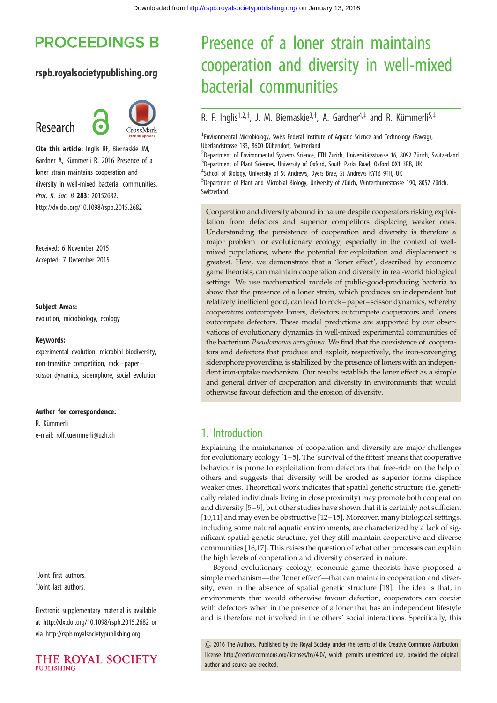# **PROCEEDINGS B**

## rspb.royalsocietypublishing.org

# Research



Cite this article: Inglis RF, Biernaskie JM, Gardner A, Kümmerli R. 2016 Presence of a loner strain maintains cooperation and diversity in well-mixed bacterial communities. Proc. R. Soc. B 283: 20152682. http://dx.doi.org/10.1098/rspb.2015.2682

Received: 6 November 2015 Accepted: 7 December 2015

#### Subject Areas:

evolution, microbiology, ecology

#### Keywords:

experimental evolution, microbial biodiversity, non-transitive competition, rock – paper– scissor dynamics, siderophore, social evolution

#### Author for correspondence:

R. Kümmerli e-mail: [rolf.kuemmerli@uzh.ch](mailto:rolf.kuemmerli@uzh.ch)

† Joint first authors. ‡ Joint last authors.

Electronic supplementary material is available at<http://dx.doi.org/10.1098/rspb.2015.2682> or via<http://rspb.royalsocietypublishing.org>.



# Presence of a loner strain maintains cooperation and diversity in well-mixed bacterial communities

# R. F. Inglis<sup>1,2,†</sup>, J. M. Biernaskie<sup>3,†</sup>, A. Gardner<sup>4,‡</sup> and R. Kümmerli<sup>5,‡</sup>

<sup>1</sup> Environmental Microbiology, Swiss Federal Institute of Aquatic Science and Technology (Eawag), Überlandstrasse 133, 8600 Dübendorf, Switzerland

 $^{2}$ Department of Environmental Systems Science, ETH Zurich, Universitätsstrasse 16, 8092 Zürich, Switzerland <sup>3</sup>Department of Plant Sciences, University of Oxford, South Parks Road, Oxford OX1 3RB, UK

<sup>4</sup>School of Biology, University of St Andrews, Dyers Brae, St Andrews KY16 9TH, UK

<sup>5</sup>Department of Plant and Microbial Biology, University of Zürich, Winterthurerstrasse 190, 8057 Zürich, Switzerland

Cooperation and diversity abound in nature despite cooperators risking exploitation from defectors and superior competitors displacing weaker ones. Understanding the persistence of cooperation and diversity is therefore a major problem for evolutionary ecology, especially in the context of wellmixed populations, where the potential for exploitation and displacement is greatest. Here, we demonstrate that a 'loner effect', described by economic game theorists, can maintain cooperation and diversity in real-world biological settings. We use mathematical models of public-good-producing bacteria to show that the presence of a loner strain, which produces an independent but relatively inefficient good, can lead to rock–paper–scissor dynamics, whereby cooperators outcompete loners, defectors outcompete cooperators and loners outcompete defectors. These model predictions are supported by our observations of evolutionary dynamics in well-mixed experimental communities of the bacterium Pseudomonas aeruginosa. We find that the coexistence of cooperators and defectors that produce and exploit, respectively, the iron-scavenging siderophore pyoverdine, is stabilized by the presence of loners with an independent iron-uptake mechanism. Our results establish the loner effect as a simple and general driver of cooperation and diversity in environments that would otherwise favour defection and the erosion of diversity.

# 1. Introduction

Explaining the maintenance of cooperation and diversity are major challenges for evolutionary ecology [[1](#page-7-0)–[5](#page-7-0)]. The 'survival of the fittest' means that cooperative behaviour is prone to exploitation from defectors that free-ride on the help of others and suggests that diversity will be eroded as superior forms displace weaker ones. Theoretical work indicates that spatial genetic structure (i.e. genetically related individuals living in close proximity) may promote both cooperation and diversity [[5](#page-7-0)–[9](#page-7-0)], but other studies have shown that it is certainly not sufficient [[10,11\]](#page-7-0) and may even be obstructive [[12](#page-7-0)–[15\]](#page-7-0). Moreover, many biological settings, including some natural aquatic environments, are characterized by a lack of significant spatial genetic structure, yet they still maintain cooperative and diverse communities [\[16](#page-7-0),[17](#page-7-0)]. This raises the question of what other processes can explain the high levels of cooperation and diversity observed in nature.

Beyond evolutionary ecology, economic game theorists have proposed a simple mechanism—the 'loner effect'—that can maintain cooperation and diversity, even in the absence of spatial genetic structure [[18\]](#page-7-0). The idea is that, in environments that would otherwise favour defection, cooperators can coexist with defectors when in the presence of a loner that has an independent lifestyle and is therefore not involved in the others' social interactions. Specifically, this

& 2016 The Authors. Published by the Royal Society under the terms of the Creative Commons Attribution License [http://creativecommons.org/licenses/by/4.0/, which permits unrestricted use, provided the original](http://creativecommons.org/licenses/by/4.0/) [author and source are credited.](http://creativecommons.org/licenses/by/4.0/)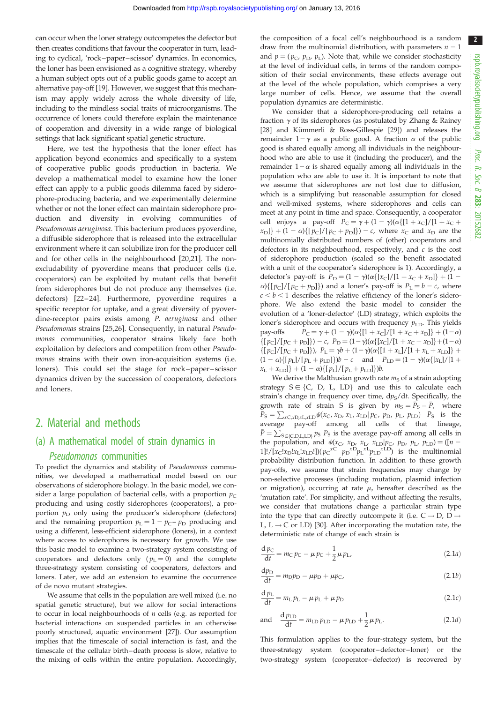2

can occur when the loner strategy outcompetes the defector but then creates conditions that favour the cooperator in turn, leading to cyclical, 'rock–paper–scissor' dynamics. In economics, the loner has been envisioned as a cognitive strategy, whereby a human subject opts out of a public goods game to accept an alternative pay-off [[19](#page-7-0)]. However, we suggest that this mechanism may apply widely across the whole diversity of life, including to the mindless social traits of microorganisms. The occurrence of loners could therefore explain the maintenance of cooperation and diversity in a wide range of biological settings that lack significant spatial genetic structure.

Here, we test the hypothesis that the loner effect has application beyond economics and specifically to a system of cooperative public goods production in bacteria. We develop a mathematical model to examine how the loner effect can apply to a public goods dilemma faced by siderophore-producing bacteria, and we experimentally determine whether or not the loner effect can maintain siderophore production and diversity in evolving communities of Pseudomonas aeruginosa. This bacterium produces pyoverdine, a diffusible siderophore that is released into the extracellular environment where it can solubilize iron for the producer cell and for other cells in the neighbourhood [\[20](#page-7-0),[21\]](#page-7-0). The nonexcludability of pyoverdine means that producer cells (i.e. cooperators) can be exploited by mutant cells that benefit from siderophores but do not produce any themselves (i.e. defectors) [[22](#page-7-0)-[24\]](#page-7-0). Furthermore, pyoverdine requires a specific receptor for uptake, and a great diversity of pyoverdine-receptor pairs exists among P. aeruginosa and other Pseudomonas strains [[25,26](#page-7-0)]. Consequently, in natural Pseudomonas communities, cooperator strains likely face both exploitation by defectors and competition from other Pseudomonas strains with their own iron-acquisition systems (i.e. loners). This could set the stage for rock-paper-scissor dynamics driven by the succession of cooperators, defectors and loners.

# 2. Material and methods

# (a) A mathematical model of strain dynamics in Pseudomonas communities

To predict the dynamics and stability of Pseudomonas communities, we developed a mathematical model based on our observations of siderophore biology. In the basic model, we consider a large population of bacterial cells, with a proportion  $p_C$ producing and using costly siderophores (cooperators), a proportion  $p_D$  only using the producer's siderophore (defectors) and the remaining proportion  $p_L = 1 - p_C - p_D$  producing and using a different, less-efficient siderophore (loners), in a context where access to siderophores is necessary for growth. We use this basic model to examine a two-strategy system consisting of cooperators and defectors only  $(p_L = 0)$  and the complete three-strategy system consisting of cooperators, defectors and loners. Later, we add an extension to examine the occurrence of de novo mutant strategies.

We assume that cells in the population are well mixed (i.e. no spatial genetic structure), but we allow for social interactions to occur in local neighbourhoods of n cells (e.g. as reported for bacterial interactions on suspended particles in an otherwise poorly structured, aquatic environment [\[27\]](#page-7-0)). Our assumption implies that the timescale of social interaction is fast, and the timescale of the cellular birth –death process is slow, relative to the mixing of cells within the entire population. Accordingly,

the composition of a focal cell's neighbourhood is a random draw from the multinomial distribution, with parameters  $n - 1$ and  $p = (p_C, p_D, p_I)$ . Note that, while we consider stochasticity at the level of individual cells, in terms of the random composition of their social environments, these effects average out at the level of the whole population, which comprises a very large number of cells. Hence, we assume that the overall population dynamics are deterministic.

We consider that a siderophore-producing cell retains a fraction  $\gamma$  of its siderophores (as postulated by Zhang & Rainey [[28](#page-7-0)] and Kümmerli & Ross-Gillespie [[29](#page-7-0)]) and releases the remainder  $1-\gamma$  as a public good. A fraction  $\alpha$  of the public good is shared equally among all individuals in the neighbourhood who are able to use it (including the producer), and the remainder  $1-\alpha$  is shared equally among all individuals in the population who are able to use it. It is important to note that we assume that siderophores are not lost due to diffusion, which is a simplifying but reasonable assumption for closed and well-mixed systems, where siderophores and cells can meet at any point in time and space. Consequently, a cooperator cell enjoys a pay-off  $P_C = \gamma + (1 - \gamma)(\alpha \{[1 + x_C]/[1 + x_C + \gamma]\})$  $x_{\text{D}}$ } + (1 -  $\alpha$ ){[  $p_{\text{C}}$ ]/[  $p_{\text{C}}$  +  $p_{\text{D}}$ ]}) - *c*, where  $x_{\text{C}}$  and  $x_{\text{D}}$  are the multinomially distributed numbers of (other) cooperators and defectors in its neighbourhood, respectively, and  $c$  is the cost of siderophore production (scaled so the benefit associated with a unit of the cooperator's siderophore is 1). Accordingly, a defector's pay-off is  $P_D = (1 - \gamma)(\alpha \{ [x_C] / [1 + x_C + x_D] \} + (1 \alpha$ ){[ $p$ C]/[ $p$ C +  $p$ D]}) and a loner's pay-off is  $P$ <sub>L</sub> =  $b$  -  $c$ , where  $c < b < 1$  describes the relative efficiency of the loner's siderophore. We also extend the basic model to consider the evolution of a 'loner-defector' (LD) strategy, which exploits the loner's siderophore and occurs with frequency  $p_{LD}$ . This yields pay-offs  $P_C = \gamma + (1 - \gamma)(\alpha \{[1 + x_C]/[1 + x_C + x_D]\} + (1 - \alpha)$  $\{ [p_C]/[p_C + p_D] \}$  – c,  $P_D = (1 - \gamma)(\alpha \{ [x_C]/[1 + x_C + x_D] \} + (1 - \alpha)$  ${[p_{\text{C}}]/[p_{\text{C}} + p_{\text{D}}]}$ ,  $P_{\text{L}} = \gamma b + (1 - \gamma)(\alpha)[1 + x_{\text{L}}]/[1 + x_{\text{L}} + x_{\text{LD}}]$  $(1 - \alpha) \{ [p_L] / [p_L + p_{LD}] \}$  $b - c$  and  $P_{LD} = (1 - \gamma) (\alpha \{ [x_L] / [1 + p_{LD}]\})$  $x_L + x_{LD}$ } + (1 -  $\alpha$ ){[  $p_L$ ]/[  $p_L + p_{LD}$ ]})b.

We derive the Malthusian growth rate  $m<sub>S</sub>$  of a strain adopting strategy  $S \in \{C, D, L, LD\}$  and use this to calculate each strain's change in frequency over time,  $dp_S/dt$ . Specifically, the growth rate of strain S is given by  $m_S = \overline{P}_S - \overline{P}$ , where  $\overline{P}_S = \sum_{x \in xD, xL, xLD} \psi(x_C, x_D, x_L, x_{LD} | p_C, p_D, p_L, p_{LD})$   $\overline{P}_S$  is the average pay-off among all cells of that lineage,  $\overline{P} = \sum_{S \in \{C, D, L, LD\}} p_S P_S$  is the average pay-off among all cells in the population, and  $\psi(x_C, x_D, x_L, x_{LD} | p_C, p_D, p_L, p_{LD}) = ([n 1!/[x_{\rm C}!x_{\rm D}!x_{\rm L}!x_{\rm LD}}]$ )( $p_{\rm C}^{xC}$   $p_{\rm D}^{xD}p_{\rm L}^{xL}p_{\rm LD}^{xLD}$ ) is the multinomial probability distribution function. In addition to these growth pay-offs, we assume that strain frequencies may change by non-selective processes (including mutation, plasmid infection or migration), occurring at rate  $\mu$ , hereafter described as the 'mutation rate'. For simplicity, and without affecting the results, we consider that mutations change a particular strain type into the type that can directly outcompete it (i.e.  $C \rightarrow D$ ,  $D \rightarrow$ L,  $L \rightarrow C$  or LD) [\[30\]](#page-7-0). After incorporating the mutation rate, the deterministic rate of change of each strain is

$$
\frac{d p_C}{dt} = m_C p_C - \mu p_C + \frac{1}{2} \mu p_L,
$$
\n(2.1*a*)

$$
\frac{\mathrm{d}p_{\mathrm{D}}}{\mathrm{d}t} = m_{\mathrm{D}}p_{\mathrm{D}} - \mu p_{\mathrm{D}} + \mu p_{\mathrm{C}},\tag{2.1b}
$$

$$
\frac{\mathrm{d}p_{\mathrm{L}}}{\mathrm{d}t} = m_{\mathrm{L}}p_{\mathrm{L}} - \mu p_{\mathrm{L}} + \mu p_{\mathrm{D}} \tag{2.1c}
$$

and 
$$
\frac{d p_{LD}}{dt} = m_{LD} p_{LD} - \mu p_{LD} + \frac{1}{2} \mu p_{L}.
$$
 (2.1*d*)

This formulation applies to the four-strategy system, but the three-strategy system (cooperator–defector –loner) or the two-strategy system (cooperator –defector) is recovered by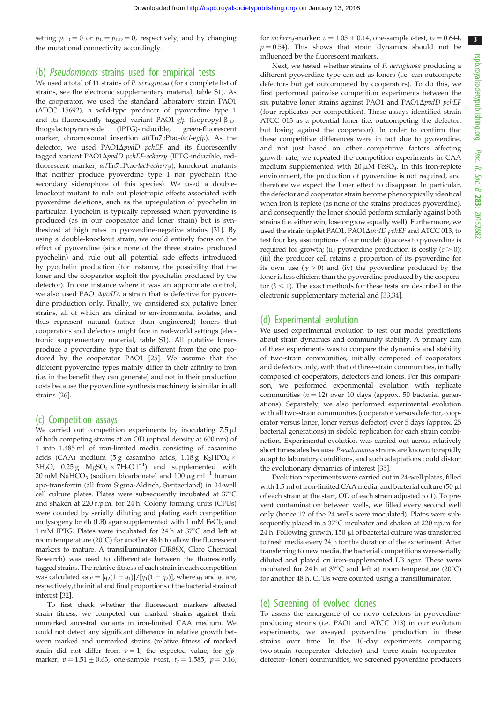rspb.royalsocietypublishing.org Proc. R. Soc. $\sigma$ 283: 20152682 3

setting  $p_{LD} = 0$  or  $p_L = p_{LD} = 0$ , respectively, and by changing the mutational connectivity accordingly.

#### (b) Pseudomonas strains used for empirical tests

We used a total of 11 strains of P. aeruginosa (for a complete list of strains, see the electronic supplementary material, table S1). As the cooperator, we used the standard laboratory strain PAO1 (ATCC 15692), a wild-type producer of pyoverdine type 1 and its fluorescently tagged variant PAO1-gfp (isopropyl- $\beta$ -<sub>D</sub>thiogalactopyranoside (IPTG)-inducible, green-fluorescent marker, chromosomal insertion attTn7::Ptac-lacI-egfp). As the defector, we used  $PAO1\Delta pvdD$  pchEF and its fluorescently tagged variant PAO1 $\Delta p v dD$  pchEF-echerry (IPTG-inducible, redfluorescent marker, attTn7::Ptac-lacI-echerry), knockout mutants that neither produce pyoverdine type 1 nor pyochelin (the secondary siderophore of this species). We used a doubleknockout mutant to rule out pleiotropic effects associated with pyoverdine deletions, such as the upregulation of pyochelin in particular. Pyochelin is typically repressed when pyoverdine is produced (as in our cooperator and loner strain) but is synthesized at high rates in pyoverdine-negative strains [[31](#page-8-0)]. By using a double-knockout strain, we could entirely focus on the effect of pyoverdine (since none of the three strains produced pyochelin) and rule out all potential side effects introduced by pyochelin production (for instance, the possibility that the loner and the cooperator exploit the pyochelin produced by the defector). In one instance where it was an appropriate control, we also used PAO1 $\Delta pvdD$ , a strain that is defective for pyoverdine production only. Finally, we considered six putative loner strains, all of which are clinical or environmental isolates, and thus represent natural (rather than engineered) loners that cooperators and defectors might face in real-world settings (electronic supplementary material, table S1). All putative loners produce a pyoverdine type that is different from the one produced by the cooperator PAO1 [\[25\]](#page-7-0). We assume that the different pyoverdine types mainly differ in their affinity to iron (i.e. in the benefit they can generate) and not in their production costs because the pyoverdine synthesis machinery is similar in all strains [\[26\]](#page-7-0).

### (c) Competition assays

We carried out competition experiments by inoculating  $7.5 \mu l$ of both competing strains at an OD (optical density at 600 nm) of 1 into 1.485 ml of iron-limited media consisting of casamino acids (CAA) medium (5 g casamino acids,  $1.18$  g K<sub>2</sub>HPO<sub>4</sub>  $\times$  $3H_2O$ ,  $0.25 g$   $MgSO_4 \times 7H_2O1^{-1}$  and supplemented with 20 mM NaHCO<sub>3</sub> (sodium bicarbonate) and  $100 \mu g$  ml<sup>-1</sup> human apo-transferrin (all from Sigma-Aldrich, Switzerland) in 24-well cell culture plates. Plates were subsequently incubated at 37°C and shaken at 220 r.p.m. for 24 h. Colony forming units (CFUs) were counted by serially diluting and plating each competition on lysogeny broth (LB) agar supplemented with  $1 \text{ mM } FeCl<sub>3</sub>$  and 1 mM IPTG. Plates were incubated for 24 h at  $37^{\circ}$ C and left at room temperature (20 $^{\circ}$ C) for another 48 h to allow the fluorescent markers to mature. A transilluminator (DR88X, Clare Chemical Research) was used to differentiate between the fluorescently tagged strains. The relative fitness of each strain in each competition was calculated as  $v = [q_2(1 - q_1)]/[q_1(1 - q_2)]$ , where  $q_1$  and  $q_2$  are, respectively, the initial and final proportions of the bacterial strain of interest [\[32\]](#page-8-0).

To first check whether the fluorescent markers affected strain fitness, we competed our marked strains against their unmarked ancestral variants in iron-limited CAA medium. We could not detect any significant difference in relative growth between marked and unmarked strains (relative fitness of marked strain did not differ from  $v = 1$ , the expected value, for gfpmarker:  $v = 1.51 \pm 0.63$ , one-sample *t*-test,  $t_7 = 1.585$ ,  $p = 0.16$ ; for *mcherry*-marker:  $v = 1.05 \pm 0.14$ , one-sample *t*-test,  $t_7 = 0.644$ ,  $p = 0.54$ ). This shows that strain dynamics should not be influenced by the fluorescent markers.

Next, we tested whether strains of P. aeruginosa producing a different pyoverdine type can act as loners (i.e. can outcompete defectors but get outcompeted by cooperators). To do this, we first performed pairwise competition experiments between the six putative loner strains against PAO1 and PAO1 $\Delta pvdD$  pchEF (four replicates per competition). These assays identified strain ATCC 013 as a potential loner (i.e. outcompeting the defector, but losing against the cooperator). In order to confirm that these competitive differences were in fact due to pyoverdine, and not just based on other competitive factors affecting growth rate, we repeated the competition experiments in CAA medium supplemented with 20  $\mu$ M FeSO<sub>4</sub>. In this iron-replete environment, the production of pyoverdine is not required, and therefore we expect the loner effect to disappear. In particular, the defector and cooperator strain become phenotypically identical when iron is replete (as none of the strains produces pyoverdine), and consequently the loner should perform similarly against both strains (i.e. either win, lose or grow equally well). Furthermore, we used the strain triplet PAO1, PAO1 $\Delta$ pvdD pchEF and ATCC 013, to test four key assumptions of our model: (i) access to pyoverdine is required for growth; (ii) pyoverdine production is costly  $(c > 0)$ ; (iii) the producer cell retains a proportion of its pyoverdine for its own use  $(\gamma > 0)$  and (iv) the pyoverdine produced by the loner is less efficient than the pyoverdine produced by the cooperator  $(b < 1)$ . The exact methods for these tests are described in the electronic supplementary material and [\[33,34](#page-8-0)].

#### (d) Experimental evolution

We used experimental evolution to test our model predictions about strain dynamics and community stability. A primary aim of these experiments was to compare the dynamics and stability of two-strain communities, initially composed of cooperators and defectors only, with that of three-strain communities, initially composed of cooperators, defectors and loners. For this comparison, we performed experimental evolution with replicate communities ( $n = 12$ ) over 10 days (approx. 50 bacterial generations). Separately, we also performed experimental evolution with all two-strain communities (cooperator versus defector, cooperator versus loner, loner versus defector) over 5 days (approx. 25 bacterial generations) in sixfold replication for each strain combination. Experimental evolution was carried out across relatively short timescales because Pseudomonas strains are known to rapidly adapt to laboratory conditions, and such adaptations could distort the evolutionary dynamics of interest [\[35](#page-8-0)].

Evolution experiments were carried out in 24-well plates, filled with 1.5 ml of iron-limited CAA media, and bacterial culture (50  $\mu$ l of each strain at the start, OD of each strain adjusted to 1). To prevent contamination between wells, we filled every second well only (hence 12 of the 24 wells were inoculated). Plates were subsequently placed in a 37°C incubator and shaken at 220 r.p.m for 24 h. Following growth, 150 µl of bacterial culture was transferred to fresh media every 24 h for the duration of the experiment. After transferring to new media, the bacterial competitions were serially diluted and plated on iron-supplemented LB agar. These were incubated for 24 h at 37 $\degree$ C and left at room temperature (20 $\degree$ C) for another 48 h. CFUs were counted using a transilluminator.

### (e) Screening of evolved clones

To assess the emergence of de novo defectors in pyoverdineproducing strains (i.e. PAO1 and ATCC 013) in our evolution experiments, we assayed pyoverdine production in these strains over time. In the 10-day experiments comparing two-strain (cooperator–defector) and three-strain (cooperator– defector–loner) communities, we screened pyoverdine producers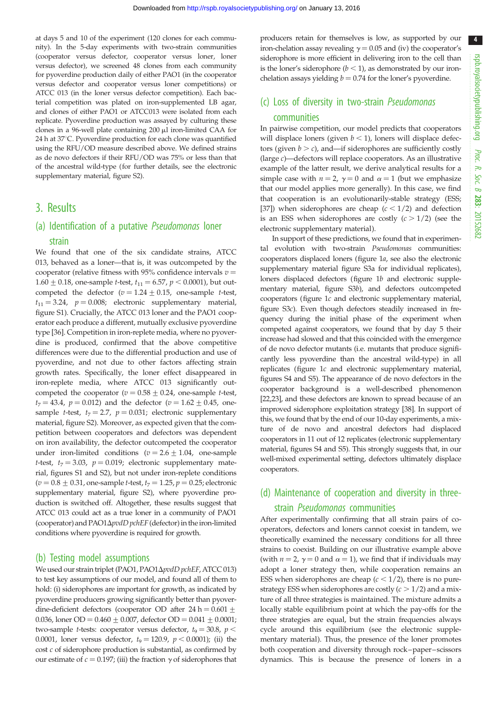at days 5 and 10 of the experiment (120 clones for each community). In the 5-day experiments with two-strain communities (cooperator versus defector, cooperator versus loner, loner versus defector), we screened 48 clones from each community for pyoverdine production daily of either PAO1 (in the cooperator versus defector and cooperator versus loner competitions) or ATCC 013 (in the loner versus defector competition). Each bacterial competition was plated on iron-supplemented LB agar, and clones of either PAO1 or ATCC013 were isolated from each replicate. Pyoverdine production was assayed by culturing these clones in a 96-well plate containing 200 µl iron-limited CAA for 24 h at 37°C. Pyoverdine production for each clone was quantified using the RFU/OD measure described above. We defined strains as de novo defectors if their RFU/OD was 75% or less than that of the ancestral wild-type (for further details, see the electronic supplementary material, figure S2).

# 3. Results

# (a) Identification of a putative Pseudomonas loner strain

We found that one of the six candidate strains, ATCC 013, behaved as a loner—that is, it was outcompeted by the cooperator (relative fitness with 95% confidence intervals  $v =$ 1.60  $\pm$  0.18, one-sample *t*-test,  $t_{11}$  = 6.57, *p* < 0.0001), but outcompeted the defector ( $v = 1.24 \pm 0.15$ , one-sample t-test,  $t_{11} = 3.24$ ,  $p = 0.008$ ; electronic supplementary material, figure S1). Crucially, the ATCC 013 loner and the PAO1 cooperator each produce a different, mutually exclusive pyoverdine type [[36](#page-8-0)]. Competition in iron-replete media, where no pyoverdine is produced, confirmed that the above competitive differences were due to the differential production and use of pyoverdine, and not due to other factors affecting strain growth rates. Specifically, the loner effect disappeared in iron-replete media, where ATCC 013 significantly outcompeted the cooperator ( $v = 0.58 \pm 0.24$ , one-sample t-test,  $t_7 = 43.4$ ,  $p = 0.012$ ) and the defector ( $v = 1.62 \pm 0.45$ , onesample *t*-test,  $t_7 = 2.7$ ,  $p = 0.031$ ; electronic supplementary material, figure S2). Moreover, as expected given that the competition between cooperators and defectors was dependent on iron availability, the defector outcompeted the cooperator under iron-limited conditions ( $v = 2.6 \pm 1.04$ , one-sample t-test,  $t_7 = 3.03$ ,  $p = 0.019$ ; electronic supplementary material, figures S1 and S2), but not under iron-replete conditions  $(v = 0.8 \pm 0.31)$ , one-sample t-test,  $t_7 = 1.25$ ,  $p = 0.25$ ; electronic supplementary material, figure S2), where pyoverdine production is switched off. Altogether, these results suggest that ATCC 013 could act as a true loner in a community of PAO1 (cooperator) and PAO1 $\Delta pvdD$  pchEF (defector) in the iron-limited conditions where pyoverdine is required for growth.

### (b) Testing model assumptions

We used our strain triplet (PAO1, PAO1 $\Delta$ pvdD pchEF, ATCC 013) to test key assumptions of our model, and found all of them to hold: (i) siderophores are important for growth, as indicated by pyoverdine producers growing significantly better than pyoverdine-deficient defectors (cooperator OD after 24 h =  $0.601 +$ 0.036, loner OD =  $0.460 \pm 0.007$ , defector OD =  $0.041 \pm 0.0001$ ; two-sample *t*-tests: cooperator versus defector,  $t_9 = 30.8$ ,  $p <$ 0.0001, loner versus defector,  $t_9 = 120.9$ ,  $p < 0.0001$ ); (ii) the cost  $c$  of siderophore production is substantial, as confirmed by our estimate of  $c = 0.197$ ; (iii) the fraction  $\gamma$  of siderophores that producers retain for themselves is low, as supported by our iron-chelation assay revealing  $\gamma = 0.05$  and (iv) the cooperator's siderophore is more efficient in delivering iron to the cell than is the loner's siderophore  $(b < 1)$ , as demonstrated by our ironchelation assays yielding  $b = 0.74$  for the loner's pyoverdine.

# (c) Loss of diversity in two-strain Pseudomonas communities

In pairwise competition, our model predicts that cooperators will displace loners (given  $b < 1$ ), loners will displace defectors (given  $b > c$ ), and—if siderophores are sufficiently costly (large c)—defectors will replace cooperators. As an illustrative example of the latter result, we derive analytical results for a simple case with  $n = 2$ ,  $\gamma = 0$  and  $\alpha = 1$  (but we emphasize that our model applies more generally). In this case, we find that cooperation is an evolutionarily-stable strategy (ESS; [[37\]](#page-8-0)) when siderophores are cheap  $(c < 1/2)$  and defection is an ESS when siderophores are costly  $(c > 1/2)$  (see the electronic supplementary material).

In support of these predictions, we found that in experimental evolution with two-strain Pseudomonas communities: cooperators displaced loners [\(figure 1](#page-4-0)a, see also the electronic supplementary material figure S3a for individual replicates), loners displaced defectors ([figure 1](#page-4-0)b and electronic supplementary material, figure S3b), and defectors outcompeted cooperators [\(figure 1](#page-4-0)c and electronic supplementary material, figure S3c). Even though defectors steadily increased in frequency during the initial phase of the experiment when competed against cooperators, we found that by day 5 their increase had slowed and that this coincided with the emergence of de novo defector mutants (i.e. mutants that produce significantly less pyoverdine than the ancestral wild-type) in all replicates [\(figure 1](#page-4-0)c and electronic supplementary material, figures S4 and S5). The appearance of de novo defectors in the cooperator background is a well-described phenomenon [[22,23](#page-7-0)], and these defectors are known to spread because of an improved siderophore exploitation strategy [\[38](#page-8-0)]. In support of this, we found that by the end of our 10-day experiments, a mixture of de novo and ancestral defectors had displaced cooperators in 11 out of 12 replicates (electronic supplementary material, figures S4 and S5). This strongly suggests that, in our well-mixed experimental setting, defectors ultimately displace cooperators.

# (d) Maintenance of cooperation and diversity in threestrain Pseudomonas communities

After experimentally confirming that all strain pairs of cooperators, defectors and loners cannot coexist in tandem, we theoretically examined the necessary conditions for all three strains to coexist. Building on our illustrative example above (with  $n = 2$ ,  $\gamma = 0$  and  $\alpha = 1$ ), we find that if individuals may adopt a loner strategy then, while cooperation remains an ESS when siderophores are cheap ( $c < 1/2$ ), there is no purestrategy ESS when siderophores are costly  $(c > 1/2)$  and a mixture of all three strategies is maintained. The mixture admits a locally stable equilibrium point at which the pay-offs for the three strategies are equal, but the strain frequencies always cycle around this equilibrium (see the electronic supplementary material). Thus, the presence of the loner promotes both cooperation and diversity through rock–paper–scissors dynamics. This is because the presence of loners in a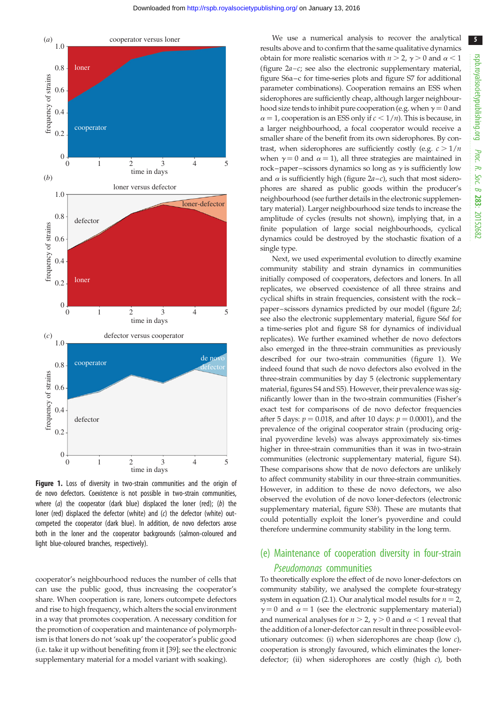<span id="page-4-0"></span>

Figure 1. Loss of diversity in two-strain communities and the origin of de novo defectors. Coexistence is not possible in two-strain communities, where  $(a)$  the cooperator (dark blue) displaced the loner (red); (b) the loner (red) displaced the defector (white) and (c) the defector (white) outcompeted the cooperator (dark blue). In addition, de novo defectors arose both in the loner and the cooperator backgrounds (salmon-coloured and light blue-coloured branches, respectively).

cooperator's neighbourhood reduces the number of cells that can use the public good, thus increasing the cooperator's share. When cooperation is rare, loners outcompete defectors and rise to high frequency, which alters the social environment in a way that promotes cooperation. A necessary condition for the promotion of cooperation and maintenance of polymorphism is that loners do not 'soak up' the cooperator's public good (i.e. take it up without benefiting from it [\[39](#page-8-0)]; see the electronic supplementary material for a model variant with soaking).

We use a numerical analysis to recover the analytical results above and to confirm that the same qualitative dynamics obtain for more realistic scenarios with  $n > 2$ ,  $\gamma > 0$  and  $\alpha < 1$ (figure  $2a-c$ ; see also the electronic supplementary material, figure S6a–c for time-series plots and figure S7 for additional parameter combinations). Cooperation remains an ESS when siderophores are sufficiently cheap, although larger neighbourhood size tends to inhibit pure cooperation (e.g. when  $\gamma = 0$  and  $\alpha = 1$ , cooperation is an ESS only if  $c < 1/n$ ). This is because, in a larger neighbourhood, a focal cooperator would receive a smaller share of the benefit from its own siderophores. By contrast, when siderophores are sufficiently costly (e.g.  $c > 1/n$ when  $\gamma = 0$  and  $\alpha = 1$ ), all three strategies are maintained in rock–paper–scissors dynamics so long as  $\gamma$  is sufficiently low and  $\alpha$  is sufficiently high (figure  $2a-c$ ), such that most siderophores are shared as public goods within the producer's neighbourhood (see further details in the electronic supplementary material). Larger neighbourhood size tends to increase the amplitude of cycles (results not shown), implying that, in a finite population of large social neighbourhoods, cyclical dynamics could be destroyed by the stochastic fixation of a single type.

Next, we used experimental evolution to directly examine community stability and strain dynamics in communities initially composed of cooperators, defectors and loners. In all replicates, we observed coexistence of all three strains and cyclical shifts in strain frequencies, consistent with the rock– paper–scissors dynamics predicted by our model ([figure 2](#page-5-0)d; see also the electronic supplementary material, figure S6d for a time-series plot and figure S8 for dynamics of individual replicates). We further examined whether de novo defectors also emerged in the three-strain communities as previously described for our two-strain communities (figure 1). We indeed found that such de novo defectors also evolved in the three-strain communities by day 5 (electronic supplementary material, figures S4 and S5). However, their prevalence was significantly lower than in the two-strain communities (Fisher's exact test for comparisons of de novo defector frequencies after 5 days:  $p = 0.018$ , and after 10 days:  $p = 0.0001$ ), and the prevalence of the original cooperator strain (producing original pyoverdine levels) was always approximately six-times higher in three-strain communities than it was in two-strain communities (electronic supplementary material, figure S4). These comparisons show that de novo defectors are unlikely to affect community stability in our three-strain communities. However, in addition to these de novo defectors, we also observed the evolution of de novo loner-defectors (electronic supplementary material, figure S3b). These are mutants that could potentially exploit the loner's pyoverdine and could therefore undermine community stability in the long term.

# (e) Maintenance of cooperation diversity in four-strain Pseudomonas communities

To theoretically explore the effect of de novo loner-defectors on community stability, we analysed the complete four-strategy system in equation (2.1). Our analytical model results for  $n = 2$ ,  $\gamma = 0$  and  $\alpha = 1$  (see the electronic supplementary material) and numerical analyses for  $n > 2$ ,  $\gamma > 0$  and  $\alpha < 1$  reveal that the addition of a loner-defector can result in three possible evolutionary outcomes: (i) when siderophores are cheap (low c), cooperation is strongly favoured, which eliminates the lonerdefector; (ii) when siderophores are costly (high  $c$ ), both

5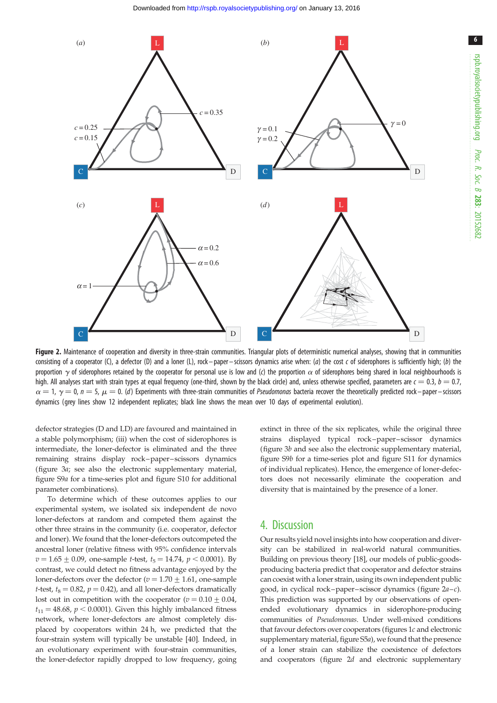<span id="page-5-0"></span>

Figure 2. Maintenance of cooperation and diversity in three-strain communities. Triangular plots of deterministic numerical analyses, showing that in communities consisting of a cooperator (C), a defector (D) and a loner (L), rock – paper – scissors dynamics arise when: (a) the cost c of siderophores is sufficiently high; (b) the proportion  $\gamma$  of siderophores retained by the cooperator for personal use is low and (c) the proportion  $\alpha$  of siderophores being shared in local neighbourhoods is high. All analyses start with strain types at equal frequency (one-third, shown by the black circle) and, unless otherwise specified, parameters are  $c = 0.3$ ,  $b = 0.7$ ,  $\alpha = 1$ ,  $\gamma = 0$ ,  $n = 5$ ,  $\mu = 0$ . (d) Experiments with three-strain communities of *Pseudomonas* bacteria recover the theoretically predicted rock – paper – scissors dynamics (grey lines show 12 independent replicates; black line shows the mean over 10 days of experimental evolution).

defector strategies (D and LD) are favoured and maintained in a stable polymorphism; (iii) when the cost of siderophores is intermediate, the loner-defector is eliminated and the three remaining strains display rock–paper–scissors dynamics [\(figure 3](#page-6-0)a; see also the electronic supplementary material, figure S9a for a time-series plot and figure S10 for additional parameter combinations).

To determine which of these outcomes applies to our experimental system, we isolated six independent de novo loner-defectors at random and competed them against the other three strains in the community (i.e. cooperator, defector and loner). We found that the loner-defectors outcompeted the ancestral loner (relative fitness with 95% confidence intervals  $v = 1.65 \pm 0.09$ , one-sample *t*-test,  $t_5 = 14.74$ ,  $p < 0.0001$ ). By contrast, we could detect no fitness advantage enjoyed by the loner-defectors over the defector ( $v = 1.70 + 1.61$ , one-sample *t*-test,  $t_8 = 0.82$ ,  $p = 0.42$ ), and all loner-defectors dramatically lost out in competition with the cooperator ( $v = 0.10 \pm 0.04$ ,  $t_{11} = 48.68$ ,  $p < 0.0001$ ). Given this highly imbalanced fitness network, where loner-defectors are almost completely displaced by cooperators within 24 h, we predicted that the four-strain system will typically be unstable [\[40](#page-8-0)]. Indeed, in an evolutionary experiment with four-strain communities, the loner-defector rapidly dropped to low frequency, going

extinct in three of the six replicates, while the original three strains displayed typical rock–paper–scissor dynamics ([figure 3](#page-6-0)b and see also the electronic supplementary material, figure S9b for a time-series plot and figure S11 for dynamics of individual replicates). Hence, the emergence of loner-defectors does not necessarily eliminate the cooperation and diversity that is maintained by the presence of a loner.

# 4. Discussion

Our results yield novel insights into how cooperation and diversity can be stabilized in real-world natural communities. Building on previous theory [\[18](#page-7-0)], our models of public-goodsproducing bacteria predict that cooperator and defector strains can coexist with a loner strain, using its own independent public good, in cyclical rock–paper–scissor dynamics (figure  $2a-c$ ). This prediction was supported by our observations of openended evolutionary dynamics in siderophore-producing communities of Pseudomonas. Under well-mixed conditions that favour defectors over cooperators ([figures 1](#page-4-0)c and electronic supplementary material, figure S5a), we found that the presence of a loner strain can stabilize the coexistence of defectors and cooperators (figure 2d and electronic supplementary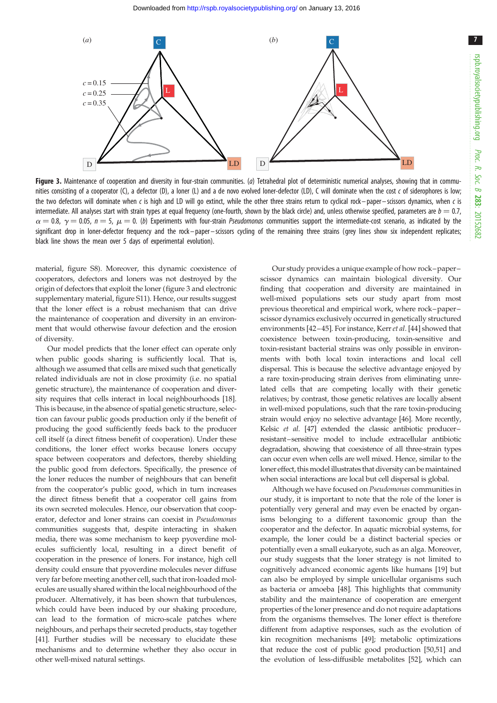<span id="page-6-0"></span>

Figure 3. Maintenance of cooperation and diversity in four-strain communities. (a) Tetrahedral plot of deterministic numerical analyses, showing that in communities consisting of a cooperator (C), a defector (D), a loner (L) and a de novo evolved loner-defector (LD), C will dominate when the cost c of siderophores is low; the two defectors will dominate when c is high and LD will go extinct, while the other three strains return to cyclical rock – paper – scissors dynamics, when c is intermediate. All analyses start with strain types at equal frequency (one-fourth, shown by the black circle) and, unless otherwise specified, parameters are  $b = 0.7$ ,  $\alpha = 0.8$ ,  $\gamma = 0.05$ ,  $n = 5$ ,  $\mu = 0$ . (b) Experiments with four-strain *Pseudomonas* communities support the intermediate-cost scenario, as indicated by the significant drop in loner-defector frequency and the rock-paper-scissors cycling of the remaining three strains (grey lines show six independent replicates; black line shows the mean over 5 days of experimental evolution).

material, figure S8). Moreover, this dynamic coexistence of cooperators, defectors and loners was not destroyed by the origin of defectors that exploit the loner (figure 3 and electronic supplementary material, figure S11). Hence, our results suggest that the loner effect is a robust mechanism that can drive the maintenance of cooperation and diversity in an environment that would otherwise favour defection and the erosion of diversity.

Our model predicts that the loner effect can operate only when public goods sharing is sufficiently local. That is, although we assumed that cells are mixed such that genetically related individuals are not in close proximity (i.e. no spatial genetic structure), the maintenance of cooperation and diversity requires that cells interact in local neighbourhoods [\[18](#page-7-0)]. This is because, in the absence of spatial genetic structure, selection can favour public goods production only if the benefit of producing the good sufficiently feeds back to the producer cell itself (a direct fitness benefit of cooperation). Under these conditions, the loner effect works because loners occupy space between cooperators and defectors, thereby shielding the public good from defectors. Specifically, the presence of the loner reduces the number of neighbours that can benefit from the cooperator's public good, which in turn increases the direct fitness benefit that a cooperator cell gains from its own secreted molecules. Hence, our observation that cooperator, defector and loner strains can coexist in Pseudomonas communities suggests that, despite interacting in shaken media, there was some mechanism to keep pyoverdine molecules sufficiently local, resulting in a direct benefit of cooperation in the presence of loners. For instance, high cell density could ensure that pyoverdine molecules never diffuse very far before meeting another cell, such that iron-loaded molecules are usually shared within the local neighbourhood of the producer. Alternatively, it has been shown that turbulences, which could have been induced by our shaking procedure, can lead to the formation of micro-scale patches where neighbours, and perhaps their secreted products, stay together [\[41](#page-8-0)]. Further studies will be necessary to elucidate these mechanisms and to determine whether they also occur in other well-mixed natural settings.

Our study provides a unique example of how rock–paper– scissor dynamics can maintain biological diversity. Our finding that cooperation and diversity are maintained in well-mixed populations sets our study apart from most previous theoretical and empirical work, where rock–paper– scissor dynamics exclusively occurred in genetically structured environments [\[42](#page-8-0)-[45](#page-8-0)]. For instance, Kerr et al. [[44\]](#page-8-0) showed that coexistence between toxin-producing, toxin-sensitive and toxin-resistant bacterial strains was only possible in environments with both local toxin interactions and local cell dispersal. This is because the selective advantage enjoyed by a rare toxin-producing strain derives from eliminating unrelated cells that are competing locally with their genetic relatives; by contrast, those genetic relatives are locally absent in well-mixed populations, such that the rare toxin-producing strain would enjoy no selective advantage [\[46\]](#page-8-0). More recently, Kelsic et al. [[47](#page-8-0)] extended the classic antibiotic producer– resistant–sensitive model to include extracellular antibiotic degradation, showing that coexistence of all three-strain types can occur even when cells are well mixed. Hence, similar to the loner effect, this model illustrates that diversity can be maintained when social interactions are local but cell dispersal is global.

Although we have focused on Pseudomonas communities in our study, it is important to note that the role of the loner is potentially very general and may even be enacted by organisms belonging to a different taxonomic group than the cooperator and the defector. In aquatic microbial systems, for example, the loner could be a distinct bacterial species or potentially even a small eukaryote, such as an alga. Moreover, our study suggests that the loner strategy is not limited to cognitively advanced economic agents like humans [\[19](#page-7-0)] but can also be employed by simple unicellular organisms such as bacteria or amoeba [\[48](#page-8-0)]. This highlights that community stability and the maintenance of cooperation are emergent properties of the loner presence and do not require adaptations from the organisms themselves. The loner effect is therefore different from adaptive responses, such as the evolution of kin recognition mechanisms [\[49](#page-8-0)]; metabolic optimizations that reduce the cost of public good production [[50,51\]](#page-8-0) and the evolution of less-diffusible metabolites [\[52](#page-8-0)], which can 7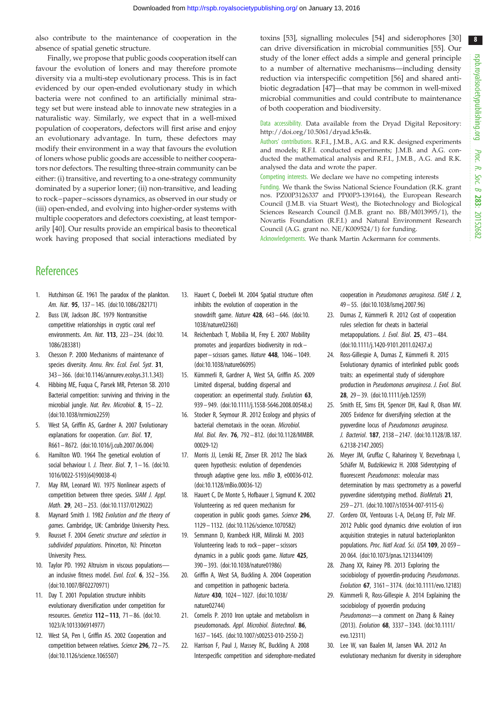8

<span id="page-7-0"></span>also contribute to the maintenance of cooperation in the absence of spatial genetic structure.

Finally, we propose that public goods cooperation itself can favour the evolution of loners and may therefore promote diversity via a multi-step evolutionary process. This is in fact evidenced by our open-ended evolutionary study in which bacteria were not confined to an artificially minimal strategy set but were instead able to innovate new strategies in a naturalistic way. Similarly, we expect that in a well-mixed population of cooperators, defectors will first arise and enjoy an evolutionary advantage. In turn, these defectors may modify their environment in a way that favours the evolution of loners whose public goods are accessible to neither cooperators nor defectors. The resulting three-strain community can be either: (i) transitive, and reverting to a one-strategy community dominated by a superior loner; (ii) non-transitive, and leading to rock–paper–scissors dynamics, as observed in our study or (iii) open-ended, and evolving into higher-order systems with multiple cooperators and defectors coexisting, at least temporarily [[40](#page-8-0)]. Our results provide an empirical basis to theoretical work having proposed that social interactions mediated by toxins [\[53](#page-8-0)], signalling molecules [[54\]](#page-8-0) and siderophores [30] can drive diversification in microbial communities [\[55](#page-8-0)]. Our study of the loner effect adds a simple and general principle to a number of alternative mechanisms—including density reduction via interspecific competition [[56](#page-8-0)] and shared antibiotic degradation [[47](#page-8-0)]—that may be common in well-mixed microbial communities and could contribute to maintenance of both cooperation and biodiversity.

Data accessibility. Data available from the Dryad Digital Repository: [http://doi.org/10.5061/dryad.k5n4k.](http://doi.org/10.5061/dryad.k5n4k)

Authors' contributions. R.F.I., J.M.B., A.G. and R.K. designed experiments and models; R.F.I. conducted experiments; J.M.B. and A.G. conducted the mathematical analysis and R.F.I., J.M.B., A.G. and R.K. analysed the data and wrote the paper.

Competing interests. We declare we have no competing interests

Funding. We thank the Swiss National Science Foundation (R.K. grant nos. PZ00P3126337 and PP00P3-139164), the European Research Council (J.M.B. via Stuart West), the Biotechnology and Biological Sciences Research Council (J.M.B. grant no. BB/M013995/1), the Novartis Foundation (R.F.I.) and Natural Environment Research Council (A.G. grant no. NE/K009524/1) for funding.

Acknowledgements. We thank Martin Ackermann for comments.

# **References**

- 1. Hutchinson GE. 1961 The paradox of the plankton. Am. Nat. 95, 137– 145. [\(doi:10.1086/282171](http://dx.doi.org/10.1086/282171))
- 2. Buss LW, Jackson JBC. 1979 Nontransitive competitive relationships in cryptic coral reef environments. Am. Nat. 113, 223– 234. [\(doi:10.](http://dx.doi.org/10.1086/283381) [1086/283381](http://dx.doi.org/10.1086/283381))
- 3. Chesson P. 2000 Mechanisms of maintenance of species diversity. Annu. Rev. Ecol. Evol. Syst. 31, 343– 366. ([doi:10.1146/annurev.ecolsys.31.1.343\)](http://dx.doi.org/10.1146/annurev.ecolsys.31.1.343)
- 4. Hibbing ME, Fuqua C, Parsek MR, Peterson SB. 2010 Bacterial competition: surviving and thriving in the microbial jungle. Nat. Rev. Microbiol. 8, 15 – 22. [\(doi:10.1038/nrmicro2259](http://dx.doi.org/10.1038/nrmicro2259))
- 5. West SA, Griffin AS, Gardner A. 2007 Evolutionary explanations for cooperation. Curr. Biol. 17, R661 –R672. ([doi:10.1016/j.cub.2007.06.004\)](http://dx.doi.org/10.1016/j.cub.2007.06.004)
- 6. Hamilton WD. 1964 The genetical evolution of social behaviour I. J. Theor. Biol.  $7, 1-16.$  ([doi:10.](http://dx.doi.org/10.1016/0022-5193(64)90038-4) [1016/0022-5193\(64\)90038-4](http://dx.doi.org/10.1016/0022-5193(64)90038-4))
- 7. May RM, Leonard WJ. 1975 Nonlinear aspects of competition between three species. SIAM J. Appl. Math. 29, 243 – 253. ([doi:10.1137/0129022\)](http://dx.doi.org/10.1137/0129022)
- 8. Maynard Smith J. 1982 Evolution and the theory of games. Cambridge, UK: Cambridge University Press.
- 9. Rousset F. 2004 Genetic structure and selection in subdivided populations. Princeton, NJ: Princeton University Press.
- 10. Taylor PD. 1992 Altruism in viscous populations an inclusive fitness model. Evol. Ecol.  $6, 352-356$ . [\(doi:10.1007/BF02270971\)](http://dx.doi.org/10.1007/BF02270971)
- 11. Day T. 2001 Population structure inhibits evolutionary diversification under competition for resources. Genetica 112 –113, 71 – 86. ([doi:10.](http://dx.doi.org/10.1023/A:1013306914977) [1023/A:1013306914977](http://dx.doi.org/10.1023/A:1013306914977))
- 12. West SA, Pen I, Griffin AS. 2002 Cooperation and competition between relatives. Science 296, 72– 75. [\(doi:10.1126/science.1065507\)](http://dx.doi.org/10.1126/science.1065507)
- 13. Hauert C, Doebeli M. 2004 Spatial structure often inhibits the evolution of cooperation in the snowdrift game. Nature 428, 643– 646. [\(doi:10.](http://dx.doi.org/10.1038/nature02360) [1038/nature02360](http://dx.doi.org/10.1038/nature02360))
- 14. Reichenbach T, Mobilia M, Frey E. 2007 Mobility promotes and jeopardizes biodiversity in rock– paper – scissors games. Nature 448, 1046 – 1049. [\(doi:10.1038/nature06095](http://dx.doi.org/10.1038/nature06095))
- 15. Kümmerli R, Gardner A, West SA, Griffin AS. 2009 Limited dispersal, budding dispersal and cooperation: an experimental study. Evolution 63, 939 – 949. [\(doi:10.1111/j.1558-5646.2008.00548.x](http://dx.doi.org/10.1111/j.1558-5646.2008.00548.x))
- 16. Stocker R, Seymour JR. 2012 Ecology and physics of bacterial chemotaxis in the ocean. Microbiol. Mol. Biol. Rev. 76, 792 – 812. [\(doi:10.1128/MMBR.](http://dx.doi.org/10.1128/MMBR.00029-12) [00029-12\)](http://dx.doi.org/10.1128/MMBR.00029-12)
- 17. Morris JJ, Lenski RE, Zinser ER. 2012 The black queen hypothesis: evolution of dependencies through adaptive gene loss. mBio 3, e00036-012. [\(doi:10.1128/mBio.00036-12\)](http://dx.doi.org/10.1128/mBio.00036-12)
- 18. Hauert C, De Monte S, Hofbauer J, Sigmund K. 2002 Volunteering as red queen mechanism for cooperation in public goods games. Science 296, 1129– 1132. [\(doi:10.1126/science.1070582](http://dx.doi.org/10.1126/science.1070582))
- 19. Semmann D, Krambeck HJR, Milinski M. 2003 Volunteering leads to rock– paper–scissors dynamics in a public goods game. Nature 425, 390 – 393. [\(doi:10.1038/nature01986](http://dx.doi.org/10.1038/nature01986))
- 20. Griffin A, West SA, Buckling A. 2004 Cooperation and competition in pathogenic bacteria. Nature 430, 1024– 1027. ([doi:10.1038/](http://dx.doi.org/10.1038/nature02744) [nature02744](http://dx.doi.org/10.1038/nature02744))
- 21. Cornelis P. 2010 Iron uptake and metabolism in pseudomonads. Appl. Microbiol. Biotechnol. 86, 1637– 1645. [\(doi:10.1007/s00253-010-2550-2](http://dx.doi.org/10.1007/s00253-010-2550-2))
- 22. Harrison F, Paul J, Massey RC, Buckling A. 2008 Interspecific competition and siderophore-mediated

cooperation in Pseudomonas aeruginosa. ISME J. 2, 49– 55. [\(doi:10.1038/ismej.2007.96](http://dx.doi.org/10.1038/ismej.2007.96))

- 23. Dumas Z, Kümmerli R. 2012 Cost of cooperation rules selection for cheats in bacterial metapopulations. J. Evol. Biol. 25, 473– 484. ([doi:10.1111/j.1420-9101.2011.02437.x\)](http://dx.doi.org/10.1111/j.1420-9101.2011.02437.x)
- 24. Ross-Gillespie A, Dumas Z, Kümmerli R. 2015 Evolutionary dynamics of interlinked public goods traits: an experimental study of siderophore production in Pseudomonas aeruginosa. J. Evol. Biol. 28, 29 – 39. ([doi:10.1111/jeb.12559](http://dx.doi.org/10.1111/jeb.12559))
- 25. Smith EE, Sims EH, Spencer DH, Kaul R, Olson MV. 2005 Evidence for diversifying selection at the pyoverdine locus of Pseudomonas aeruginosa. J. Bacteriol. 187, 2138 – 2147. ([doi:10.1128/JB.187.](http://dx.doi.org/10.1128/JB.187.6.2138-2147.2005) [6.2138-2147.2005](http://dx.doi.org/10.1128/JB.187.6.2138-2147.2005))
- 26. Meyer JM, Gruffaz C, Raharinosy V, Bezverbnaya I, Schäfer M, Budzikiewicz H. 2008 Siderotyping of fluorescent Pseudomonas: molecular mass determination by mass spectrometry as a powerful pyoverdine siderotyping method. BioMetals 21, 259– 271. [\(doi:10.1007/s10534-007-9115-6](http://dx.doi.org/10.1007/s10534-007-9115-6))
- 27. Cordero OX, Ventouras L-A, DeLong EF, Polz MF. 2012 Public good dynamics drive evolution of iron acquisition strategies in natural bacterioplankton populations. Proc. Natl Acad. Sci. USA 109, 20 059– 20 064. [\(doi:10.1073/pnas.1213344109](http://dx.doi.org/10.1073/pnas.1213344109))
- 28. Zhang XX, Rainey PB. 2013 Exploring the sociobiology of pyoverdin-producing Pseudomonas. Evolution 67, 3161– 3174. ([doi:10.1111/evo.12183](http://dx.doi.org/10.1111/evo.12183))
- 29. Kümmerli R, Ross-Gillespie A. 2014 Explaining the sociobiology of pyoverdin producing Pseudomonas—a comment on Zhang & Rainey (2013). Evolution 68, 3337– 3343. ([doi:10.1111/](http://dx.doi.org/10.1111/evo.12311) [evo.12311\)](http://dx.doi.org/10.1111/evo.12311)
- 30. Lee W, van Baalen M, Jansen VAA. 2012 An evolutionary mechanism for diversity in siderophore